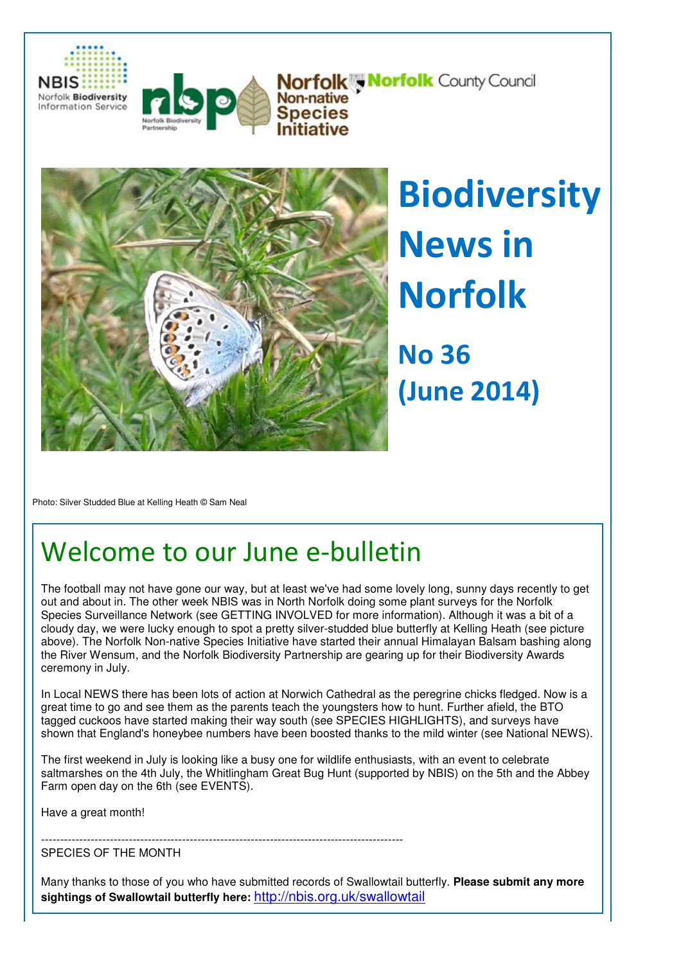



**Norfolk , Norfolk County Council** Non-native<br>Species



**Biodiversity** News in Norfolk No 36

(June 2014)

Photo: Silver Studded Blue at Kelling Heath © Sam Neal

# Welcome to our June e-bulletin

The football may not have gone our way, but at least we've had some lovely long, sunny days recently to get out and about in. The other week NBIS was in North Norfolk doing some plant surveys for the Norfolk Species Surveillance Network (see GETTING INVOLVED for more information). Although it was a bit of a cloudy day, we were lucky enough to spot a pretty silver-studded blue butterfly at Kelling Heath (see picture above). The Norfolk Non-native Species Initiative have started their annual Himalayan Balsam bashing along the River Wensum, and the Norfolk Biodiversity Partnership are gearing up for their Biodiversity Awards ceremony in July.

In Local NEWS there has been lots of action at Norwich Cathedral as the peregrine chicks fledged. Now is a great time to go and see them as the parents teach the youngsters how to hunt. Further afield, the BTO tagged cuckoos have started making their way south (see SPECIES HIGHLIGHTS), and surveys have shown that England's honeybee numbers have been boosted thanks to the mild winter (see National NEWS).

The first weekend in July is looking like a busy one for wildlife enthusiasts, with an event to celebrate saltmarshes on the 4th July, the Whitlingham Great Bug Hunt (supported by NBIS) on the 5th and the Abbey Farm open day on the 6th (see EVENTS).

Have a great month!

-----------------------------------------------------------------------------------------------

SPECIES OF THE MONTH

Many thanks to those of you who have submitted records of Swallowtail butterfly. **Please submit any more sightings of Swallowtail butterfly here:** http://nbis.org.uk/swallowtail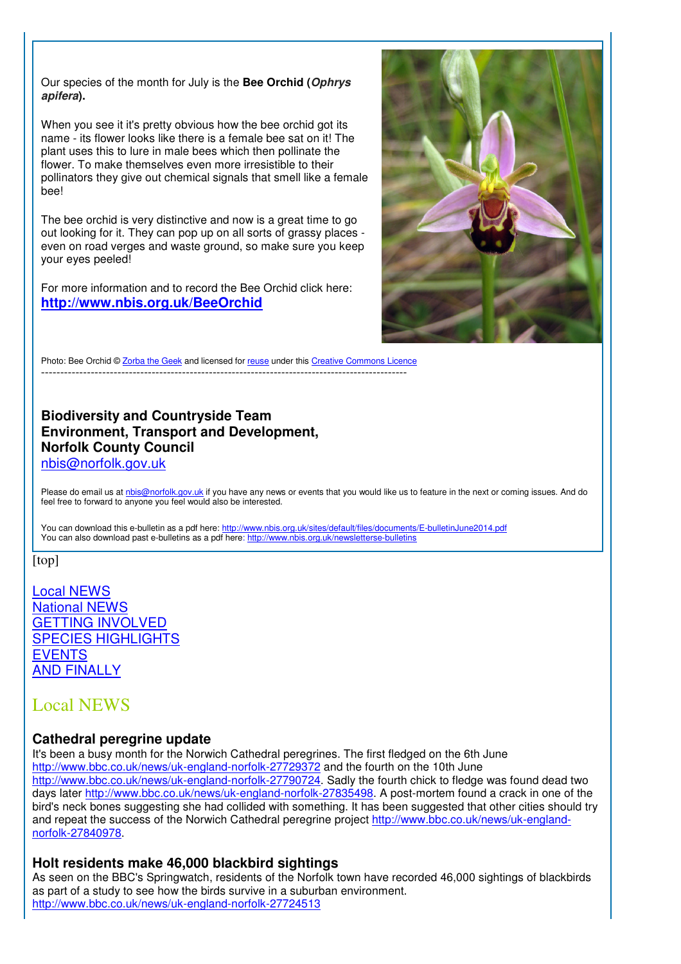Our species of the month for July is the **Bee Orchid (Ophrys apifera).**

When you see it it's pretty obvious how the bee orchid got its name - its flower looks like there is a female bee sat on it! The plant uses this to lure in male bees which then pollinate the flower. To make themselves even more irresistible to their pollinators they give out chemical signals that smell like a female bee!

The bee orchid is very distinctive and now is a great time to go out looking for it. They can pop up on all sorts of grassy places even on road verges and waste ground, so make sure you keep your eyes peeled!

For more information and to record the Bee Orchid click here: **http://www.nbis.org.uk/BeeOrchid**



Photo: Bee Orchid © Zorba the Geek and licensed for reuse under this Creative Commons Licence ------------------------------------------------------------------------------------------------

#### **Biodiversity and Countryside Team Environment, Transport and Development, Norfolk County Council**  nbis@norfolk.gov.uk

Please do email us at nbis@norfolk.gov.uk if you have any news or events that you would like us to feature in the next or coming issues. And do feel free to forward to anyone you feel would also be interested.

You can download this e-bulletin as a pdf here: http://www.nbis.org.uk/sites/default/files/documents/E-bulletinJune2014.pdf You can also download past e-bulletins as a pdf here: http://www.nbis.org.uk/newsletterse-bulletins

[top]

Local NEWS National NEWS GETTING INVOLVED SPECIES HIGHLIGHTS EVENTS AND FINALLY

# Local NEWS

#### **Cathedral peregrine update**

It's been a busy month for the Norwich Cathedral peregrines. The first fledged on the 6th June http://www.bbc.co.uk/news/uk-england-norfolk-27729372 and the fourth on the 10th June http://www.bbc.co.uk/news/uk-england-norfolk-27790724. Sadly the fourth chick to fledge was found dead two days later http://www.bbc.co.uk/news/uk-england-norfolk-27835498. A post-mortem found a crack in one of the bird's neck bones suggesting she had collided with something. It has been suggested that other cities should try and repeat the success of the Norwich Cathedral peregrine project http://www.bbc.co.uk/news/uk-englandnorfolk-27840978.

#### **Holt residents make 46,000 blackbird sightings**

As seen on the BBC's Springwatch, residents of the Norfolk town have recorded 46,000 sightings of blackbirds as part of a study to see how the birds survive in a suburban environment. http://www.bbc.co.uk/news/uk-england-norfolk-27724513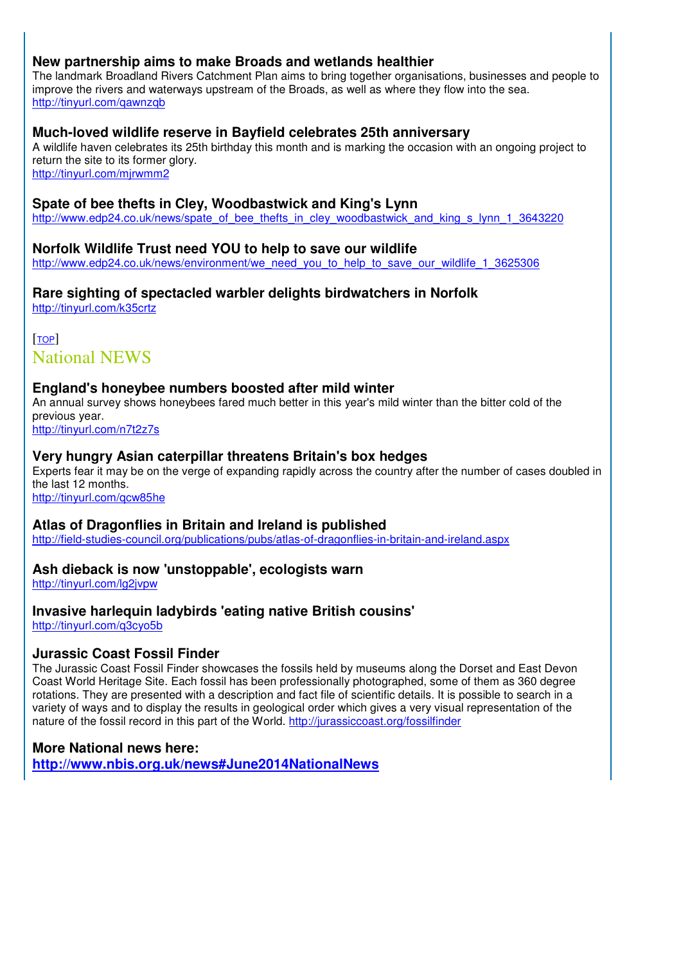#### **New partnership aims to make Broads and wetlands healthier**

The landmark Broadland Rivers Catchment Plan aims to bring together organisations, businesses and people to improve the rivers and waterways upstream of the Broads, as well as where they flow into the sea. http://tinyurl.com/qawnzqb

#### **Much-loved wildlife reserve in Bayfield celebrates 25th anniversary**

A wildlife haven celebrates its 25th birthday this month and is marking the occasion with an ongoing project to return the site to its former glory.

http://tinyurl.com/mjrwmm2

#### **Spate of bee thefts in Cley, Woodbastwick and King's Lynn**

http://www.edp24.co.uk/news/spate\_of\_bee\_thefts\_in\_cley\_woodbastwick\_and\_king\_s\_lynn\_1\_3643220

#### **Norfolk Wildlife Trust need YOU to help to save our wildlife**

http://www.edp24.co.uk/news/environment/we\_need\_you\_to\_help\_to\_save\_our\_wildlife\_1\_3625306

#### **Rare sighting of spectacled warbler delights birdwatchers in Norfolk**  http://tinyurl.com/k35crtz

[TOP] National NEWS

#### **England's honeybee numbers boosted after mild winter**

An annual survey shows honeybees fared much better in this year's mild winter than the bitter cold of the previous year.

http://tinyurl.com/n7t2z7s Ξ

#### **Very hungry Asian caterpillar threatens Britain's box hedges**

Experts fear it may be on the verge of expanding rapidly across the country after the number of cases doubled in the last 12 months.

http://tinyurl.com/qcw85he Ξ

#### **Atlas of Dragonflies in Britain and Ireland is published**

http://field-studies-council.org/publications/pubs/atlas-of-dragonflies-in-britain-and-ireland.aspx

#### **Ash dieback is now 'unstoppable', ecologists warn**

http://tinyurl.com/lg2jvpw

#### **Invasive harlequin ladybirds 'eating native British cousins'**

http://tinyurl.com/q3cyo5b Ξ

#### **Jurassic Coast Fossil Finder**

The Jurassic Coast Fossil Finder showcases the fossils held by museums along the Dorset and East Devon Coast World Heritage Site. Each fossil has been professionally photographed, some of them as 360 degree rotations. They are presented with a description and fact file of scientific details. It is possible to search in a variety of ways and to display the results in geological order which gives a very visual representation of the nature of the fossil record in this part of the World. http://jurassiccoast.org/fossilfinder

#### **More National news here:**

**http://www.nbis.org.uk/news#June2014NationalNews**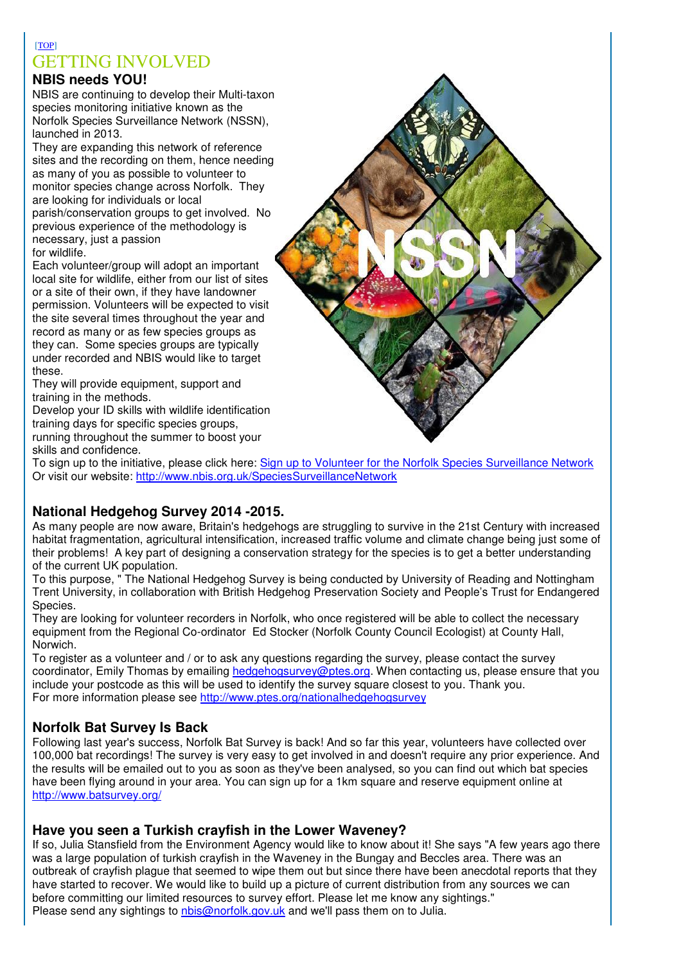# [TOP] GETTING INVOLVED

# **NBIS needs YOU!**

NBIS are continuing to develop their Multi-taxon species monitoring initiative known as the Norfolk Species Surveillance Network (NSSN), launched in 2013.

They are expanding this network of reference sites and the recording on them, hence needing as many of you as possible to volunteer to monitor species change across Norfolk. They are looking for individuals or local parish/conservation groups to get involved. No previous experience of the methodology is necessary, just a passion for wildlife.

Each volunteer/group will adopt an important local site for wildlife, either from our list of sites or a site of their own, if they have landowner permission. Volunteers will be expected to visit the site several times throughout the year and record as many or as few species groups as they can. Some species groups are typically under recorded and NBIS would like to target these.

They will provide equipment, support and training in the methods.

Develop your ID skills with wildlife identification training days for specific species groups,

running throughout the summer to boost your

skills and confidence.

To sign up to the initiative, please click here: Sign up to Volunteer for the Norfolk Species Surveillance Network Or visit our website: http://www.nbis.org.uk/SpeciesSurveillanceNetwork

# **National Hedgehog Survey 2014 -2015.**

As many people are now aware, Britain's hedgehogs are struggling to survive in the 21st Century with increased habitat fragmentation, agricultural intensification, increased traffic volume and climate change being just some of their problems! A key part of designing a conservation strategy for the species is to get a better understanding of the current UK population.

To this purpose, " The National Hedgehog Survey is being conducted by University of Reading and Nottingham Trent University, in collaboration with British Hedgehog Preservation Society and People's Trust for Endangered Species.

They are looking for volunteer recorders in Norfolk, who once registered will be able to collect the necessary equipment from the Regional Co-ordinator Ed Stocker (Norfolk County Council Ecologist) at County Hall, Norwich.

To register as a volunteer and / or to ask any questions regarding the survey, please contact the survey coordinator. Emily Thomas by emailing hedgehogsurvey@ptes.org. When contacting us, please ensure that you include your postcode as this will be used to identify the survey square closest to you. Thank you. For more information please see http://www.ptes.org/nationalhedgehogsurvey

# **Norfolk Bat Survey Is Back**

Following last year's success, Norfolk Bat Survey is back! And so far this year, volunteers have collected over 100,000 bat recordings! The survey is very easy to get involved in and doesn't require any prior experience. And the results will be emailed out to you as soon as they've been analysed, so you can find out which bat species have been flying around in your area. You can sign up for a 1km square and reserve equipment online at http://www.batsurvey.org/

#### **Have you seen a Turkish crayfish in the Lower Waveney?**

If so, Julia Stansfield from the Environment Agency would like to know about it! She says "A few years ago there was a large population of turkish crayfish in the Waveney in the Bungay and Beccles area. There was an outbreak of crayfish plague that seemed to wipe them out but since there have been anecdotal reports that they have started to recover. We would like to build up a picture of current distribution from any sources we can before committing our limited resources to survey effort. Please let me know any sightings." Please send any sightings to nbis@norfolk.gov.uk and we'll pass them on to Julia.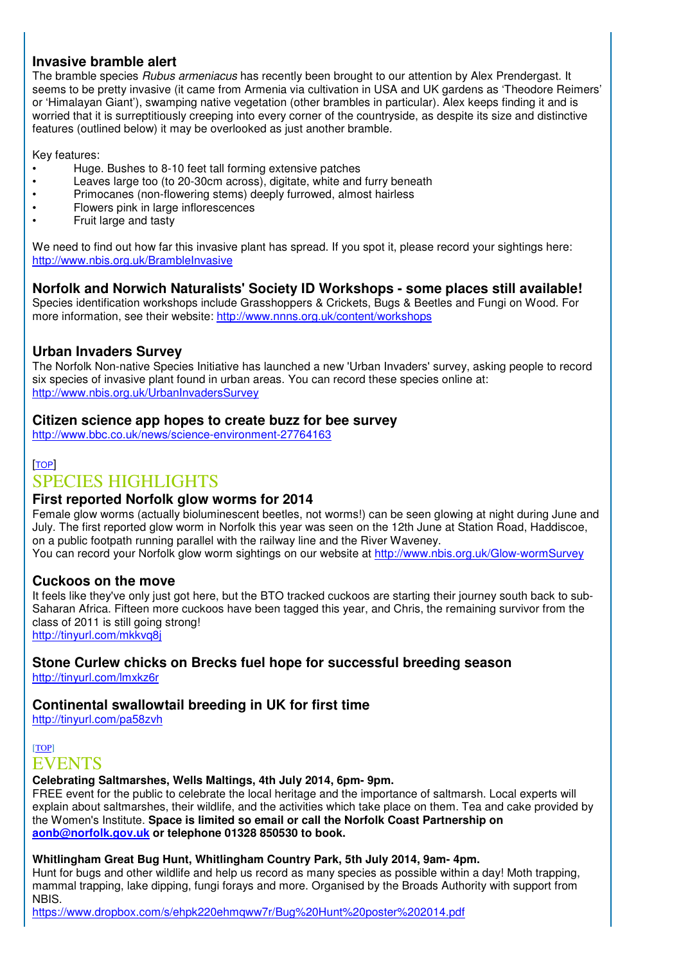#### **Invasive bramble alert**

The bramble species Rubus armeniacus has recently been brought to our attention by Alex Prendergast. It seems to be pretty invasive (it came from Armenia via cultivation in USA and UK gardens as 'Theodore Reimers' or 'Himalayan Giant'), swamping native vegetation (other brambles in particular). Alex keeps finding it and is worried that it is surreptitiously creeping into every corner of the countryside, as despite its size and distinctive features (outlined below) it may be overlooked as just another bramble.

Key features:

- Huge. Bushes to 8-10 feet tall forming extensive patches
- Leaves large too (to 20-30cm across), digitate, white and furry beneath <br>• Primocanes (non-flowering stems) deeply furrowed, almost hairless
- Primocanes (non-flowering stems) deeply furrowed, almost hairless
- Flowers pink in large inflorescences
- Fruit large and tasty

We need to find out how far this invasive plant has spread. If you spot it, please record your sightings here: http://www.nbis.org.uk/BrambleInvasive

#### **Norfolk and Norwich Naturalists' Society ID Workshops - some places still available!**

Species identification workshops include Grasshoppers & Crickets, Bugs & Beetles and Fungi on Wood. For more information, see their website: http://www.nnns.org.uk/content/workshops

#### **Urban Invaders Survey**

The Norfolk Non-native Species Initiative has launched a new 'Urban Invaders' survey, asking people to record six species of invasive plant found in urban areas. You can record these species online at: http://www.nbis.org.uk/UrbanInvadersSurvey

#### **Citizen science app hopes to create buzz for bee survey**

http://www.bbc.co.uk/news/science-environment-27764163

#### [TOP]

## SPECIES HIGHLIGHTS

#### **First reported Norfolk glow worms for 2014**

Female glow worms (actually bioluminescent beetles, not worms!) can be seen glowing at night during June and July. The first reported glow worm in Norfolk this year was seen on the 12th June at Station Road, Haddiscoe, on a public footpath running parallel with the railway line and the River Waveney. You can record your Norfolk glow worm sightings on our website at http://www.nbis.org.uk/Glow-wormSurvey

#### **Cuckoos on the move**

It feels like they've only just got here, but the BTO tracked cuckoos are starting their journey south back to sub-Saharan Africa. Fifteen more cuckoos have been tagged this year, and Chris, the remaining survivor from the class of 2011 is still going strong! http://tinyurl.com/mkkvq8j

# **Stone Curlew chicks on Brecks fuel hope for successful breeding season**

http://tinyurl.com/lmxkz6r

#### **Continental swallowtail breeding in UK for first time**

http://tinyurl.com/pa58zvh

## [TOP] EVENTS

#### **Celebrating Saltmarshes, Wells Maltings, 4th July 2014, 6pm- 9pm.**

FREE event for the public to celebrate the local heritage and the importance of saltmarsh. Local experts will explain about saltmarshes, their wildlife, and the activities which take place on them. Tea and cake provided by the Women's Institute. **Space is limited so email or call the Norfolk Coast Partnership on aonb@norfolk.gov.uk or telephone 01328 850530 to book.**

#### **Whitlingham Great Bug Hunt, Whitlingham Country Park, 5th July 2014, 9am- 4pm.**

Hunt for bugs and other wildlife and help us record as many species as possible within a day! Moth trapping, mammal trapping, lake dipping, fungi forays and more. Organised by the Broads Authority with support from NBIS.

https://www.dropbox.com/s/ehpk220ehmqww7r/Bug%20Hunt%20poster%202014.pdf